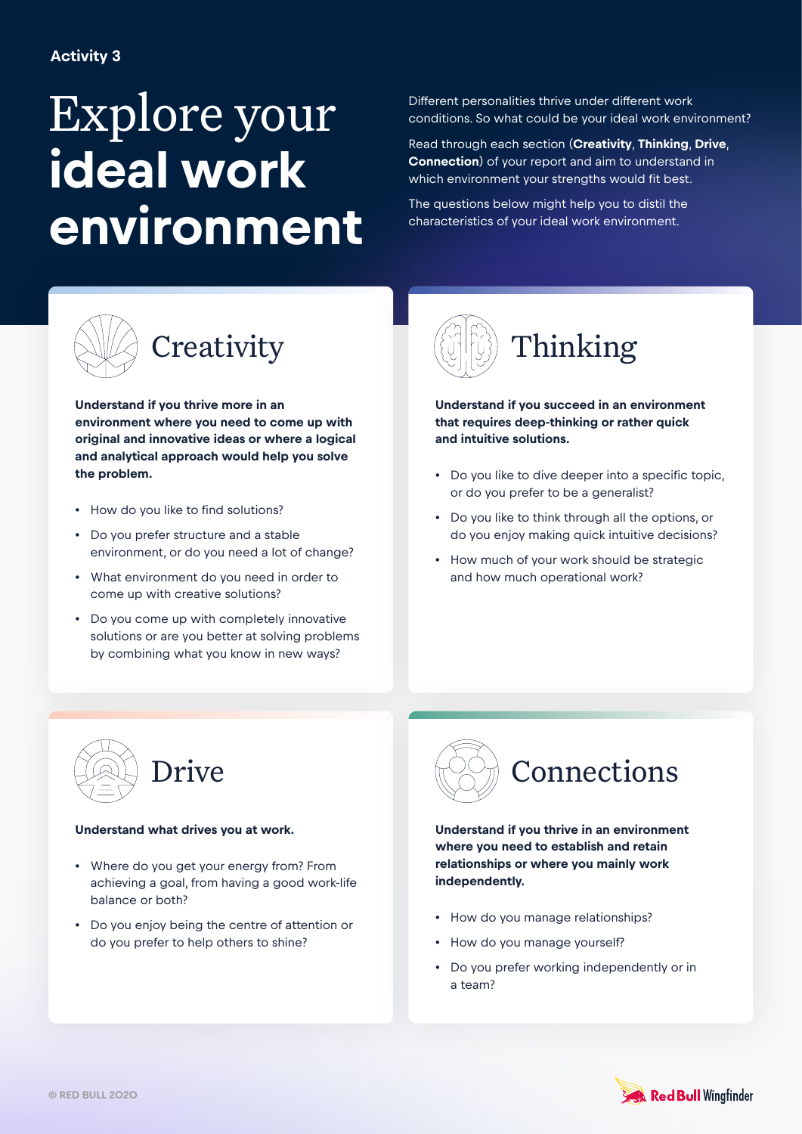## Explore your **ideal work environment**

Different personalities thrive under different work conditions. So what could be your ideal work environment?

Read through each section (**Creativity**, **Thinking**, **Drive**, **Connection**) of your report and aim to understand in which environment your strengths would fit best.

The questions below might help you to distil the characteristics of your ideal work environment.



**Understand if you thrive more in an environment where you need to come up with original and innovative ideas or where a logical and analytical approach would help you solve the problem.** 

- How do you like to find solutions?
- Do you prefer structure and a stable environment, or do you need a lot of change?
- What environment do you need in order to come up with creative solutions?
- Do you come up with completely innovative solutions or are you better at solving problems by combining what you know in new ways?



**Understand if you succeed in an environment that requires deep-thinking or rather quick and intuitive solutions.** 

- Do you like to dive deeper into a specific topic, or do you prefer to be a generalist?
- Do you like to think through all the options, or do you enjoy making quick intuitive decisions?
- How much of your work should be strategic and how much operational work?



## **Understand what drives you at work.**

- Where do you get your energy from? From achieving a goal, from having a good work-life balance or both?
- Do you enjoy being the centre of attention or do you prefer to help others to shine?



**Understand if you thrive in an environment where you need to establish and retain relationships or where you mainly work independently.** 

- How do you manage relationships?
- How do you manage yourself?
- Do you prefer working independently or in a team?